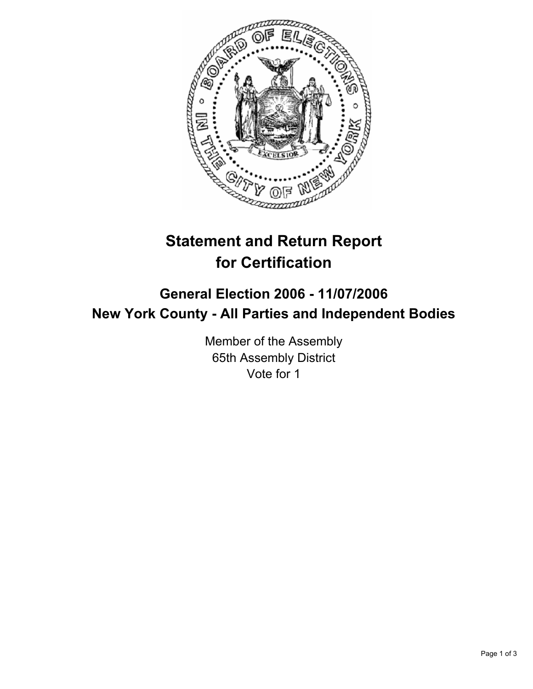

# **Statement and Return Report for Certification**

## **General Election 2006 - 11/07/2006 New York County - All Parties and Independent Bodies**

Member of the Assembly 65th Assembly District Vote for 1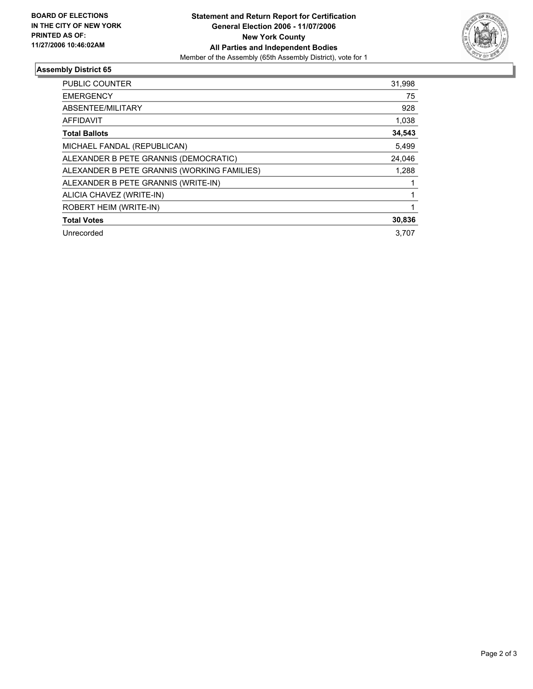

### **Assembly District 65**

| <b>PUBLIC COUNTER</b>                       | 31,998 |
|---------------------------------------------|--------|
| <b>EMERGENCY</b>                            | 75     |
| ABSENTEE/MILITARY                           | 928    |
| <b>AFFIDAVIT</b>                            | 1,038  |
| <b>Total Ballots</b>                        | 34,543 |
| MICHAEL FANDAL (REPUBLICAN)                 | 5,499  |
| ALEXANDER B PETE GRANNIS (DEMOCRATIC)       | 24,046 |
| ALEXANDER B PETE GRANNIS (WORKING FAMILIES) | 1,288  |
| ALEXANDER B PETE GRANNIS (WRITE-IN)         |        |
| ALICIA CHAVEZ (WRITE-IN)                    |        |
| ROBERT HEIM (WRITE-IN)                      |        |
| <b>Total Votes</b>                          | 30,836 |
| Unrecorded                                  | 3.707  |